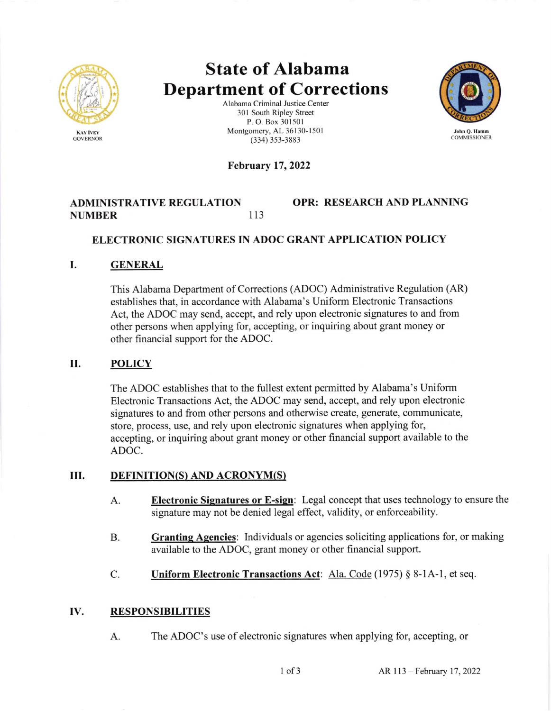

# State of Alabama Department of Corrections<br>Alabama Criminal Justice Center

301 South Ripley Street P. O. Box 301501 Montgomery, AL 36130-1501 (334) 353-3883



#### February 17,2022

## ADMINISTRATIVE REGULATION NUMBER I13

## OPR: RESEARCH AND PLANNING

#### ELECTRONIC SIGNATURES IN ADOC GRANT APPLICATION POLICY

#### I. GENERAL

This Alabama Department of Corrections (ADOC) Administrative Regulation (AR) establishes that, in accordance with Alabama's Uniform Electronic Transactions Act, the ADOC may send, accept, and rely upon electronic signatures to and from other persons when applying for, accepting, or inquiring about grant money or other financial support for the ADOC.

#### II. POLICY

The ADOC establishes that to the fullest extent permitted by Alabama's Uniform Electronic Transactions Act, the ADOC may send, accept, and rely upon electronic signatures to and from other persons and otherwise create, generate, communicate, store, process, use, and rely upon electronic signatures when applying for, accepting, or inquiring about grant money or other financial support available to the ADOC.

#### III. DEFINITION(S) AND ACRONYM(S)

- Electronic Signatures or E-sign: Legal concept that uses technology to ensure the signature may not be denied legal effect, validity, or enforceability. A.
- Granting Agencies: Individuals or agencies soliciting applications for, or making available to the ADOC, grant money or other financial support. B.
- Uniform Electronic Transactions Act: Ala. Code (1975) § 8-1A-1, et seq. C.

#### RESPONSIBILITIES IV

A. The ADOC's use of electronic signatures when applying for, accepting, or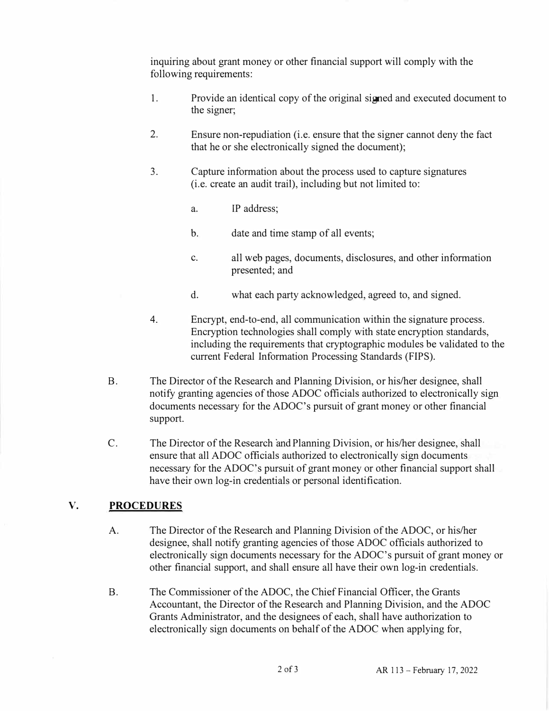inquiring about grant money or other financial support will comply with the following requirements:

- 1. Provide an identical copy of the original signed and executed document to the signer;
- 2. Ensure non-repudiation (i.e. ensure that the signer cannot deny the fact that he or she electronically signed the document);
- 3. Capture information about the process used to capture signatures (i.e. create an audit trail), including but not limited to:
	- a. IP address;
	- b. date and time stamp of all events;
	- c. all web pages, documents, disclosures, and other information presented; and
	- d. what each party acknowledged, agreed to, and signed.
- 4. Encrypt, end-to-end, all communication within the signature process. Encryption technologies shall comply with state encryption standards, including the requirements that cryptographic modules be validated to the current Federal Information Processing Standards (FIPS).
- B. The Director of the Research and Planning Division, or his/her designee, shall notify granting agencies of those ADOC officials authorized to electronically sign documents necessary for the ADOC's pursuit of grant money or other financial support.
- C. The Director of the Research andPlanning Division, or his/her designee, shall ensure that all ADOC officials authorized to electronically sign documents necessary for the ADOC's pursuit of grant money or other financial support shall have their own log-in credentials or personal identification.

## **V. PROCEDURES**

- A. The Director of the Research and Planning Division of the ADOC, or his/her designee, shall notify granting agencies of those ADOC officials authorized to electronically sign documents necessary for the ADOC's pursuit of grant money or other financial support, and shall ensure all have their own log-in credentials.
- B. The Commissioner of the ADOC, the Chief Financial Officer, the Grants Accountant, the Director of the Research and Planning Division, and the ADOC Grants Administrator, and the designees of each, shall have authorization to electronically sign documents on behalf of the ADOC when applying for,